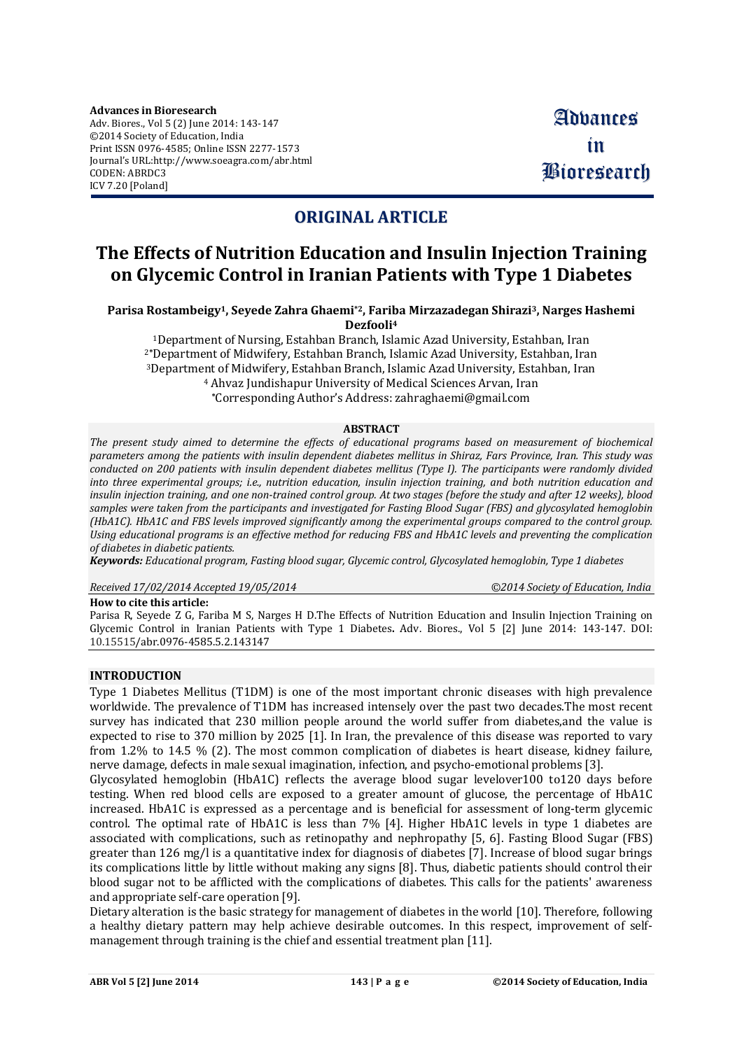## **ORIGINAL ARTICLE**

# **The Effects of Nutrition Education and Insulin Injection Training on Glycemic Control in Iranian Patients with Type 1 Diabetes**

**Parisa Rostambeigy1, Seyede Zahra Ghaemi \*2, Fariba Mirzazadegan Shirazi <sup>3</sup>, Narges Hashemi Dezfooli 4**

Department of Nursing, Estahban Branch, Islamic Azad University, Estahban, Iran **\***Department of Midwifery, Estahban Branch, Islamic Azad University, Estahban, Iran Department of Midwifery, Estahban Branch, Islamic Azad University, Estahban, Iran Ahvaz Jundishapur University of Medical Sciences Arvan, Iran **\***Corresponding Author's Address: [zahraghaemi@gmail.com](mailto:zahraghaemi@gmail.com)

#### **ABSTRACT**

*The present study aimed to determine the effects of educational programs based on measurement of biochemical* parameters among the patients with insulin dependent diabetes mellitus in Shiraz. Fars Province, Iran. This study was conducted on 200 patients with insulin dependent diabetes mellitus (Type I). The participants were randomly divided *into three experimental groups; i.e., nutrition education, insulin injection training, and both nutrition education and* insulin injection training, and one non-trained control group. At two stages (before the study and after 12 weeks), blood samples were taken from the participants and investigated for Fasting Blood Sugar (FBS) and glycosylated hemoglobin (HbA1C). HbA1C and FBS levels improved significantly among the experimental groups compared to the control group. Using educational programs is an effective method for reducing FBS and HbA1C levels and preventing the complication *of diabetes in diabetic patients.*

*Keywords: Educational program, Fasting blood sugar, Glycemic control, Glycosylated hemoglobin, Type 1 diabetes*

*Received 17/02/2014 Accepted 19/05/2014 ©2014 Society of Education, India*

### **How to cite this article:**

Parisa R, Seyede Z G, Fariba M S, Narges H D.The Effects of Nutrition Education and Insulin Injection Training on Glycemic Control in Iranian Patients with Type 1 Diabetes**.** Adv. Biores., Vol 5 [2] June 2014: 143-147. DOI: 10.15515/abr.0976-4585.5.2.143147

### **INTRODUCTION**

Type 1 Diabetes Mellitus (T1DM) is one of the most important chronic diseases with high prevalence worldwide. The prevalence of T1DM has increased intensely over the past two decades.The most recent survey has indicated that 230 million people around the world suffer from diabetes,and the value is expected to rise to 370 million by 2025 [1]. In Iran, the prevalence of this disease was reported to vary from 1.2% to 14.5 % (2). The most common complication of diabetes is heart disease, kidney failure, nerve damage, defects in male sexual imagination, infection, and psycho-emotional problems [3].

Glycosylated hemoglobin (HbA1C) reflects the average blood sugar levelover100 to120 days before testing. When red blood cells are exposed to a greater amount of glucose, the percentage of HbA1C increased. HbA1C is expressed as a percentage and is beneficial for assessment of long-term glycemic control. The optimal rate of HbA1C is less than 7% [4]. Higher HbA1C levels in type 1 diabetes are associated with complications, such as retinopathy and nephropathy [5, 6]. Fasting Blood Sugar (FBS) greater than 126 mg/l is a quantitative index for diagnosis of diabetes [7]. Increase of blood sugar brings its complications little by little without making any signs [8]. Thus, diabetic patients should control their blood sugar not to be afflicted with the complications of diabetes. This calls for the patients' awareness and appropriate self-care operation [9].

Dietary alteration is the basic strategy for management of diabetes in the world [10]. Therefore, following a healthy dietary pattern may help achieve desirable outcomes. In this respect, improvement of selfmanagement through training is the chief and essential treatment plan [11].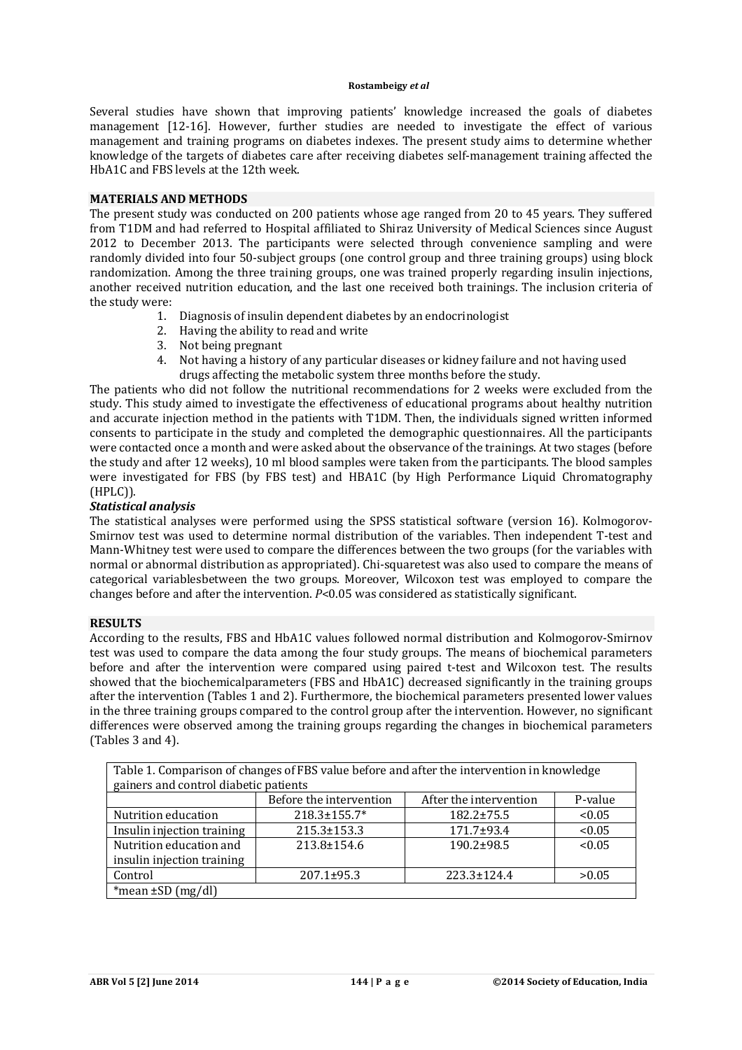Several studies have shown that improving patients' knowledge increased the goals of diabetes management [12-16]. However, further studies are needed to investigate the effect of various management and training programs on diabetes indexes. The present study aims to determine whether knowledge of the targets of diabetes care after receiving diabetes self-management training affected the HbA1C and FBS levels at the 12th week.

### **MATERIALS AND METHODS**

The present study was conducted on 200 patients whose age ranged from 20 to 45 years. They suffered from T1DM and had referred to Hospital affiliated to Shiraz University of Medical Sciences since August 2012 to December 2013. The participants were selected through convenience sampling and were randomly divided into four 50-subject groups (one control group and three training groups) using block randomization. Among the three training groups, one was trained properly regarding insulin injections, another received nutrition education, and the last one received both trainings. The inclusion criteria of the study were:

- 1. Diagnosis of insulin dependent diabetes by an endocrinologist
- 2. Having the ability to read and write
- 3. Not being pregnant
- 4. Not having a history of any particular diseases or kidney failure and not having used drugs affecting the metabolic system three months before the study.

The patients who did not follow the nutritional recommendations for 2 weeks were excluded from the study. This study aimed to investigate the effectiveness of educational programs about healthy nutrition and accurate injection method in the patients with T1DM. Then, the individuals signed written informed consents to participate in the study and completed the demographic questionnaires. All the participants were contacted once a month and were asked about the observance of the trainings. At two stages (before the study and after 12 weeks), 10 ml blood samples were taken from the participants. The blood samples were investigated for FBS (by FBS test) and HBA1C (by High Performance Liquid Chromatography (HPLC)).

## *Statistical analysis*

The statistical analyses were performed using the SPSS statistical software (version 16). Kolmogorov-Smirnov test was used to determine normal distribution of the variables. Then independent T-test and Mann-Whitney test were used to compare the differences between the two groups (for the variables with normal or abnormal distribution as appropriated). Chi-squaretest was also used to compare the means of categorical variablesbetween the two groups. Moreover, Wilcoxon test was employed to compare the changes before and after the intervention. *P*<0.05 was considered as statistically significant.

### **RESULTS**

According to the results, FBS and HbA1C values followed normal distribution and Kolmogorov-Smirnov test was used to compare the data among the four study groups. The means of biochemical parameters before and after the intervention were compared using paired t-test and Wilcoxon test. The results showed that the biochemicalparameters (FBS and HbA1C) decreased significantly in the training groups after the intervention (Tables 1 and 2). Furthermore, the biochemical parameters presented lower values in the three training groups compared to the control group after the intervention. However, no significant differences were observed among the training groups regarding the changes in biochemical parameters (Tables 3 and 4).

| Table 1. Comparison of changes of FBS value before and after the intervention in knowledge |                         |                        |         |  |  |
|--------------------------------------------------------------------------------------------|-------------------------|------------------------|---------|--|--|
| gainers and control diabetic patients                                                      |                         |                        |         |  |  |
|                                                                                            | Before the intervention | After the intervention | P-value |  |  |
| Nutrition education                                                                        | 218.3±155.7*            | $182.2 \pm 75.5$       | < 0.05  |  |  |
| Insulin injection training                                                                 | $215.3 \pm 153.3$       | 171.7±93.4             | < 0.05  |  |  |
| Nutrition education and                                                                    | $213.8 \pm 154.6$       | $190.2 + 98.5$         | < 0.05  |  |  |
| insulin injection training                                                                 |                         |                        |         |  |  |
| Control                                                                                    | 207.1±95.3              | $223.3 \pm 124.4$      | >0.05   |  |  |
| *mean $\pm SD$ (mg/dl)                                                                     |                         |                        |         |  |  |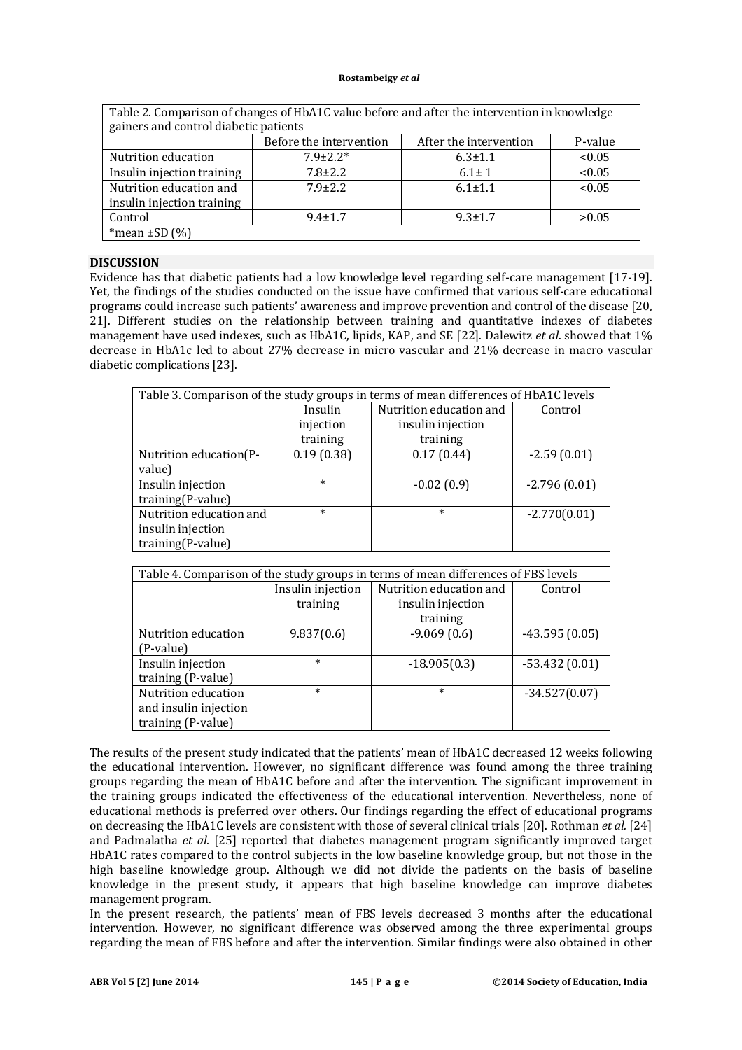| Table 2. Comparison of changes of HbA1C value before and after the intervention in knowledge |                         |                        |         |  |  |
|----------------------------------------------------------------------------------------------|-------------------------|------------------------|---------|--|--|
| gainers and control diabetic patients                                                        |                         |                        |         |  |  |
|                                                                                              | Before the intervention | After the intervention | P-value |  |  |
| Nutrition education                                                                          | $7.9 \pm 2.2*$          | $6.3 \pm 1.1$          | < 0.05  |  |  |
| Insulin injection training                                                                   | $7.8 + 2.2$             | $6.1 \pm 1$            | < 0.05  |  |  |
| Nutrition education and                                                                      | $7.9 + 2.2$             | $6.1 + 1.1$            | < 0.05  |  |  |
| insulin injection training                                                                   |                         |                        |         |  |  |
| Control                                                                                      | $9.4 \pm 1.7$           | $9.3 \pm 1.7$          | >0.05   |  |  |
| *mean $\pm$ SD $(%)$                                                                         |                         |                        |         |  |  |

## **DISCUSSION**

Evidence has that diabetic patients had a low knowledge level regarding self-care management [17-19]. Yet, the findings of the studies conducted on the issue have confirmed that various self-care educational programs could increase such patients' awareness and improve prevention and control of the disease [20, 21]. Different studies on the relationship between training and quantitative indexes of diabetes management have used indexes, such as HbA1C, lipids, KAP, and SE [22]. Dalewitz *et al*. showed that 1% decrease in HbA1c led to about 27% decrease in micro vascular and 21% decrease in macro vascular diabetic complications [23].

| Table 3. Comparison of the study groups in terms of mean differences of HbA1C levels |            |                         |                |  |
|--------------------------------------------------------------------------------------|------------|-------------------------|----------------|--|
|                                                                                      | Insulin    | Nutrition education and | Control        |  |
|                                                                                      | injection  | insulin injection       |                |  |
|                                                                                      | training   | training                |                |  |
| Nutrition education(P-                                                               | 0.19(0.38) | 0.17(0.44)              | $-2.59(0.01)$  |  |
| value)                                                                               |            |                         |                |  |
| Insulin injection                                                                    | $\ast$     | $-0.02(0.9)$            | $-2.796(0.01)$ |  |
| training(P-value)                                                                    |            |                         |                |  |
| Nutrition education and                                                              | $\ast$     | $\ast$                  | $-2.770(0.01)$ |  |
| insulin injection                                                                    |            |                         |                |  |
| training(P-value)                                                                    |            |                         |                |  |

| Table 4. Comparison of the study groups in terms of mean differences of FBS levels |                   |                         |                 |  |
|------------------------------------------------------------------------------------|-------------------|-------------------------|-----------------|--|
|                                                                                    | Insulin injection | Nutrition education and | Control         |  |
|                                                                                    | training          | insulin injection       |                 |  |
|                                                                                    |                   | training                |                 |  |
| Nutrition education                                                                | 9.837(0.6)        | $-9.069(0.6)$           | $-43.595(0.05)$ |  |
| (P-value)                                                                          |                   |                         |                 |  |
| Insulin injection                                                                  | $\ast$            | $-18.905(0.3)$          | $-53.432(0.01)$ |  |
| training (P-value)                                                                 |                   |                         |                 |  |
| Nutrition education                                                                | $\ast$            | $\ast$                  | $-34.527(0.07)$ |  |
| and insulin injection                                                              |                   |                         |                 |  |
| training (P-value)                                                                 |                   |                         |                 |  |

The results of the present study indicated that the patients' mean of HbA1C decreased 12 weeks following the educational intervention. However, no significant difference was found among the three training groups regarding the mean of HbA1C before and after the intervention. The significant improvement in the training groups indicated the effectiveness of the educational intervention. Nevertheless, none of educational methods is preferred over others. Our findings regarding the effect of educational programs on decreasing the HbA1C levels are consistent with those of several clinical trials [20]. Rothman *et al.* [24] and Padmalatha *et al.* [25] reported that diabetes management program significantly improved target HbA1C rates compared to the control subjects in the low baseline knowledge group, but not those in the high baseline knowledge group. Although we did not divide the patients on the basis of baseline knowledge in the present study, it appears that high baseline knowledge can improve diabetes management program.

In the present research, the patients' mean of FBS levels decreased 3 months after the educational intervention. However, no significant difference was observed among the three experimental groups regarding the mean of FBS before and after the intervention. Similar findings were also obtained in other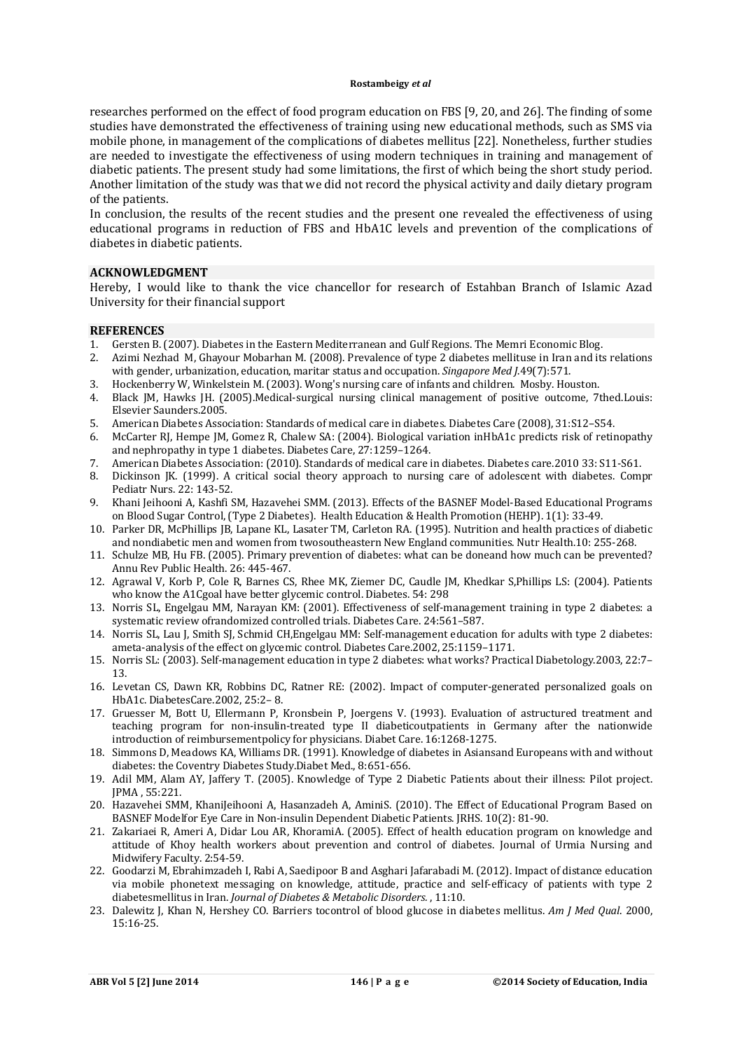researches performed on the effect of food program education on FBS [9, 20, and 26]. The finding of some studies have demonstrated the effectiveness of training using new educational methods, such as SMS via mobile phone, in management of the complications of diabetes mellitus [22]. Nonetheless, further studies are needed to investigate the effectiveness of using modern techniques in training and management of diabetic patients. The present study had some limitations, the first of which being the short study period. Another limitation of the study was that we did not record the physical activity and daily dietary program of the patients.

In conclusion, the results of the recent studies and the present one revealed the effectiveness of using educational programs in reduction of FBS and HbA1C levels and prevention of the complications of diabetes in diabetic patients.

## **ACKNOWLEDGMENT**

Hereby, I would like to thank the vice chancellor for research of Estahban Branch of Islamic Azad University for their financial support

#### **REFERENCES**

- 1. Gersten B.(2007). Diabetes in the Eastern Mediterranean and Gulf Regions. The Memri Economic Blog.
- 2. Azimi Nezhad M, Ghayour Mobarhan M. (2008). Prevalence of type 2 diabetes mellituse in Iran and its relations with gender, urbanization, education, maritar status and occupation. *Singapore Med J*.49(7):571.
- 3. Hockenberry W, Winkelstein M. (2003). Wong's nursing care of infants and children. Mosby. Houston.
- 4. Black JM, Hawks JH. (2005).Medical-surgical nursing clinical management of positive outcome, 7thed.Louis: Elsevier Saunders.2005.
- 5. American Diabetes Association: Standards of medical care in diabetes. Diabetes Care (2008), 31:S12–S54.
- 6. McCarter RJ, Hempe JM, Gomez R, Chalew SA: (2004). Biological variation inHbA1c predicts risk of retinopathy and nephropathy in type 1 diabetes. Diabetes Care, 27:1259–1264.
- 7. American Diabetes Association: (2010). Standards of medical care in diabetes. Diabetes care.2010 33: S11-S61.
- 8. Dickinson JK. (1999). A critical social theory approach to nursing care of adolescent with diabetes. Compr Pediatr Nurs. 22: 143-52.
- 9. Khani Jeihooni A, Kashfi SM, Hazavehei SMM. (2013). Effects of the BASNEF Model-Based Educational Programs on Blood Sugar Control,(Type 2 Diabetes). Health Education & Health Promotion (HEHP). 1(1): 33-49.
- 10. Parker DR, McPhillips JB, Lapane KL, Lasater TM, Carleton RA. (1995). Nutrition and health practices of diabetic and nondiabetic men and women from twosoutheastern New England communities. Nutr Health.10: 255-268.
- 11. Schulze MB, Hu FB. (2005). Primary prevention of diabetes: what can be doneand how much can be prevented? Annu Rev Public Health. 26: 445-467.
- 12. Agrawal V, Korb P, Cole R, Barnes CS, Rhee MK, Ziemer DC, Caudle JM, Khedkar S,Phillips LS: (2004). Patients who know the A1Cgoal have better glycemic control. Diabetes. 54: 298
- 13. Norris SL, Engelgau MM, Narayan KM: (2001). Effectiveness of self-management training in type 2 diabetes: a systematic review ofrandomized controlled trials. Diabetes Care. 24:561–587.
- 14. Norris SL, Lau J, Smith SJ, Schmid CH,Engelgau MM: Self-management education for adults with type 2 diabetes: ameta-analysis of the effect on glycemic control. Diabetes Care.2002, 25:1159–1171.
- 15. Norris SL: (2003). Self-management education in type 2 diabetes: what works? Practical Diabetology.2003, 22:7– 13.
- 16. Levetan CS, Dawn KR, Robbins DC, Ratner RE: (2002). Impact of computer-generated personalized goals on HbA1c. DiabetesCare.2002, 25:2– 8.
- 17. Gruesser M, Bott U, Ellermann P, Kronsbein P, Joergens V. (1993). Evaluation of astructured treatment and teaching program for non-insulin-treated type II diabeticoutpatients in Germany after the nationwide introduction of reimbursementpolicy for physicians. Diabet Care. 16:1268-1275.
- 18. Simmons D, Meadows KA, Williams DR. (1991). Knowledge of diabetes in Asiansand Europeans with and without diabetes: the Coventry Diabetes Study.Diabet Med., 8:651-656.
- 19. Adil MM, Alam AY, Jaffery T. (2005). Knowledge of Type 2 Diabetic Patients about their illness: Pilot project. JPMA , 55:221.
- 20. Hazavehei SMM, KhaniJeihooni A, Hasanzadeh A, AminiS. (2010). The Effect of Educational Program Based on BASNEF Modelfor Eye Care in Non-insulin Dependent Diabetic Patients. JRHS. 10(2): 81-90.
- 21. Zakariaei R, Ameri A, Didar Lou AR, KhoramiA. (2005). Effect of health education program on knowledge and attitude of Khoy health workers about prevention and control of diabetes. Journal of Urmia Nursing and Midwifery Faculty. 2:54-59.
- 22. Goodarzi M, Ebrahimzadeh I, Rabi A, Saedipoor B and Asghari Jafarabadi M. (2012). Impact of distance education via mobile phonetext messaging on knowledge, attitude, practice and self-efficacy of patients with type 2 diabetesmellitus in Iran. *Journal of Diabetes & Metabolic Disorders.* , 11:10.
- 23. Dalewitz J, Khan N, Hershey CO. Barriers tocontrol of blood glucose in diabetes mellitus. *Am J Med Qual*. 2000, 15:16-25.